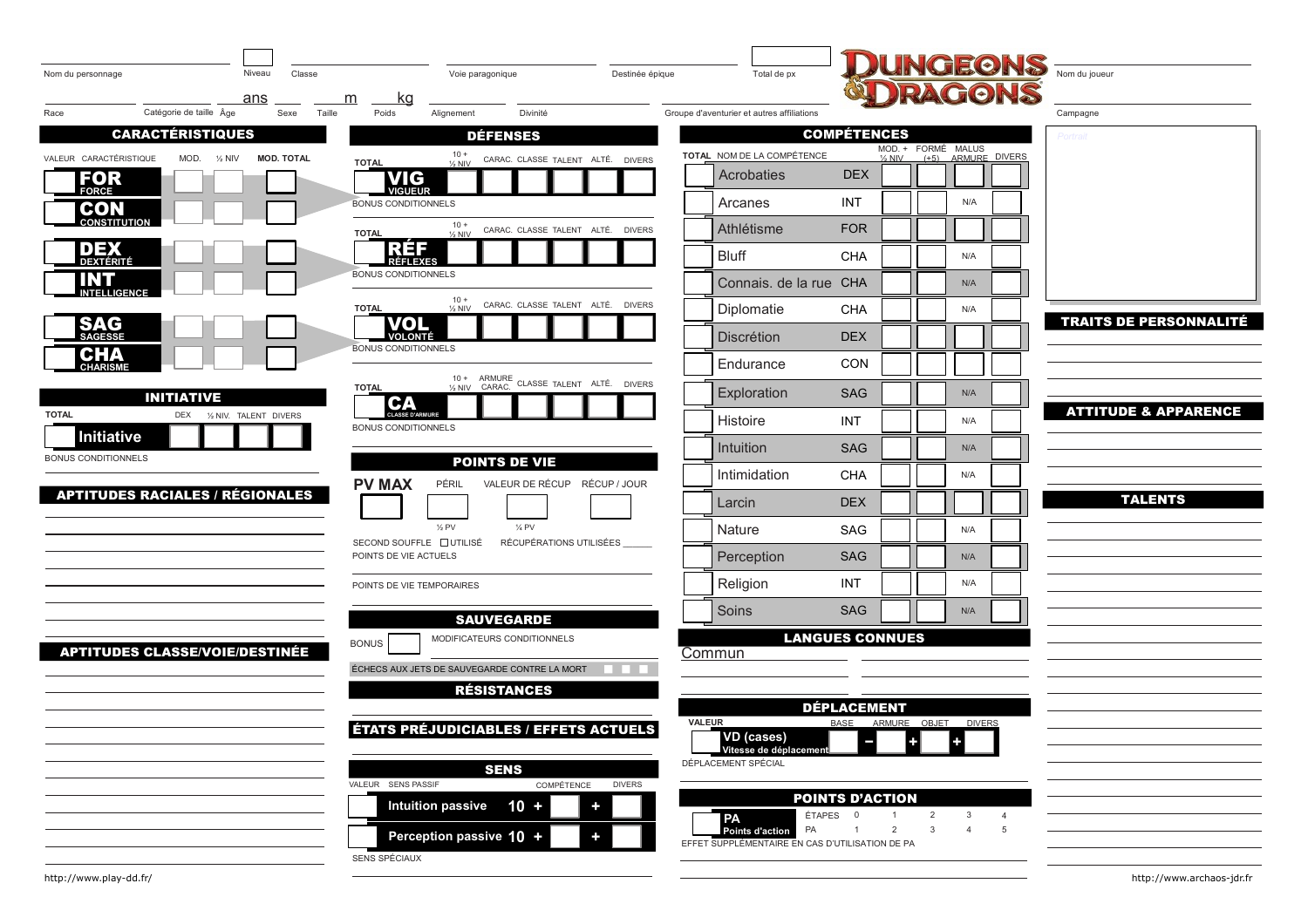|                                        |                               |                   |                                |                                              |                                              |               |                                                                          |                                   |                     |                    |               | <b>UNGEONS</b>                  |  |
|----------------------------------------|-------------------------------|-------------------|--------------------------------|----------------------------------------------|----------------------------------------------|---------------|--------------------------------------------------------------------------|-----------------------------------|---------------------|--------------------|---------------|---------------------------------|--|
| Nom du personnage                      | Niveau<br>ans                 | Classe            | <u>kg</u><br>m                 | Voie paragonique                             | Destinée épique                              |               | Total de px                                                              |                                   |                     |                    | <b>RAGONS</b> |                                 |  |
| Race                                   | Catégorie de taille Âge       | Sexe<br>Taille    | Poids                          | Alignement                                   | Divinité                                     |               | Groupe d'aventurier et autres affiliations                               |                                   |                     |                    |               | Campagne                        |  |
|                                        | <b>CARACTÉRISTIQUES</b>       |                   |                                | <b>DÉFENSES</b>                              |                                              |               |                                                                          | <b>COMPÉTENCES</b>                | MOD. + FORMÉ MALUS  |                    |               | Portrail                        |  |
| VALEUR CARACTÉRISTIQUE                 | MOD.<br>$\frac{1}{2}$ NIV     | <b>MOD. TOTAL</b> | <b>TOTAL</b>                   | $10 +$<br>$\frac{1}{2}$ NIV                  | CARAC. CLASSE TALENT ALTÉ. DIVERS            |               | TOTAL NOM DE LA COMPÉTENCE                                               |                                   | $\frac{1}{2}$ NIV   | (+5) ARMURE DIVERS |               |                                 |  |
| FOR<br><b>FORCE</b>                    |                               |                   | <b>VIG</b><br>VIGUEUR          |                                              |                                              |               | Acrobaties                                                               | <b>DEX</b>                        |                     |                    |               |                                 |  |
| <b>CON</b><br>CONSTITUTION             |                               |                   | <b>BONUS CONDITIONNELS</b>     |                                              |                                              |               | Arcanes                                                                  | INT                               |                     | N/A                |               |                                 |  |
|                                        |                               |                   | <b>TOTAL</b>                   | $10 +$<br>$\frac{1}{2}$ NIV                  | CARAC. CLASSE TALENT ALTÉ. DIVERS            |               | Athlétisme                                                               | <b>FOR</b>                        |                     |                    |               |                                 |  |
| <u>DEX</u><br>DEXTÉRITÉ                |                               |                   | RE 5<br>RÉFLEXES               |                                              |                                              |               | <b>Bluff</b>                                                             | CHA                               |                     | N/A                |               |                                 |  |
| INT<br><b>INTELLIGENCE</b>             |                               |                   | <b>BONUS CONDITIONNELS</b>     |                                              |                                              |               | Connais. de la rue CHA                                                   |                                   |                     | N/A                |               |                                 |  |
|                                        |                               |                   | <b>TOTAL</b>                   | $10 +$<br>$\frac{1}{2}$ NIV                  | CARAC. CLASSE TALENT ALTÉ. DIVERS            |               | Diplomatie                                                               | CHA                               |                     | N/A                |               | <b>TRAITS DE PERSONNALITÉ</b>   |  |
| <b>SAG</b>                             |                               |                   | VOI<br><b>VOLONTÉ</b>          |                                              |                                              |               | <b>Discrétion</b>                                                        | <b>DEX</b>                        |                     |                    |               |                                 |  |
| CHA                                    |                               |                   | <b>BONUS CONDITIONNELS</b>     |                                              |                                              |               | Endurance                                                                | CON                               |                     |                    |               |                                 |  |
|                                        | <b>INITIATIVE</b>             |                   | <b>TOTAL</b>                   |                                              | 10 + ARMURE CLASSE TALENT ALTÉ. DIVERS       |               | Exploration                                                              | <b>SAG</b>                        |                     | N/A                |               |                                 |  |
| <b>TOTAL</b>                           | 1/2 NIV. TALENT DIVERS<br>DEX |                   | <b>CLASSE D'ARMURE</b>         |                                              |                                              |               | Histoire                                                                 | INT                               |                     | N/A                |               | <b>ATTITUDE &amp; APPARENCE</b> |  |
| Initiative                             |                               |                   | <b>BONUS CONDITIONNELS</b>     |                                              |                                              |               | Intuition                                                                | <b>SAG</b>                        |                     | N/A                |               |                                 |  |
| <b>BONUS CONDITIONNELS</b>             |                               |                   |                                | <b>POINTS DE VIE</b>                         |                                              |               | Intimidation                                                             | <b>CHA</b>                        |                     | N/A                |               |                                 |  |
| <b>APTITUDES RACIALES / RÉGIONALES</b> |                               |                   | <b>PV MAX</b>                  | PÉRIL                                        | VALEUR DE RÉCUP RÉCUP / JOUR                 |               |                                                                          |                                   |                     |                    |               | <b>TALENTS</b>                  |  |
|                                        |                               |                   |                                |                                              |                                              |               | Larcin                                                                   | <b>DEX</b>                        |                     |                    |               |                                 |  |
|                                        |                               |                   | SECOND SOUFFLE <b>DUTILISÉ</b> | 1/4 PV<br>$\frac{1}{2}$ PV                   | RÉCUPÉRATIONS UTILISÉES                      |               | Nature                                                                   | SAG                               |                     | N/A                |               |                                 |  |
|                                        |                               |                   | POINTS DE VIE ACTUELS          |                                              |                                              |               | Perception                                                               | <b>SAG</b>                        |                     | N/A                |               |                                 |  |
|                                        |                               |                   | POINTS DE VIE TEMPORAIRES      |                                              |                                              |               | Religion                                                                 | INT                               |                     | N/A                |               |                                 |  |
|                                        |                               |                   |                                | <b>SAUVEGARDE</b>                            |                                              |               | Soins                                                                    | <b>SAG</b>                        |                     | N/A                |               |                                 |  |
| <b>APTITUDES CLASSE/VOIE/DESTINÉE</b>  |                               |                   | <b>BONUS</b>                   | MODIFICATEURS CONDITIONNELS                  |                                              |               |                                                                          | <b>LANGUES CONNUES</b>            |                     |                    |               |                                 |  |
|                                        |                               |                   |                                | ÉCHECS AUX JETS DE SAUVEGARDE CONTRE LA MORT |                                              |               | Commun                                                                   |                                   |                     |                    |               |                                 |  |
|                                        |                               |                   |                                | <b>RÉSISTANCES</b>                           |                                              |               |                                                                          |                                   |                     |                    |               |                                 |  |
|                                        |                               |                   |                                |                                              |                                              | <b>VALEUR</b> |                                                                          | <b>DÉPLACEMENT</b><br><b>BASE</b> | ARMURE OBJET DIVERS |                    |               |                                 |  |
|                                        |                               |                   |                                |                                              | <b>ÉTATS PRÉJUDICIABLES / EFFETS ACTUELS</b> |               | VD (cases)<br>Vitesse de déplacement                                     |                                   |                     |                    |               |                                 |  |
|                                        |                               |                   |                                | <b>SENS</b>                                  |                                              |               | DÉPLACEMENT SPÉCIAL                                                      |                                   |                     |                    |               |                                 |  |
|                                        |                               |                   | VALEUR SENS PASSIF             |                                              | COMPÉTENCE<br><b>DIVERS</b>                  |               |                                                                          | <b>POINTS D'ACTION</b>            |                     |                    |               |                                 |  |
|                                        |                               |                   |                                | <b>Intuition passive</b><br>$10 +$           | $\ddot{\phantom{1}}$                         |               | PA                                                                       | ÉTAPES 0                          | $\overline{2}$      | 3                  |               |                                 |  |
|                                        |                               |                   |                                | Perception passive 10 +                      | ÷                                            |               | PA<br>Points d'action<br>EFFET SUPPLÉMENTAIRE EN CAS D'UTILISATION DE PA |                                   | $\overline{2}$<br>3 |                    |               |                                 |  |
|                                        |                               |                   | SENS SPÉCIAUX                  |                                              |                                              |               |                                                                          |                                   |                     |                    |               |                                 |  |